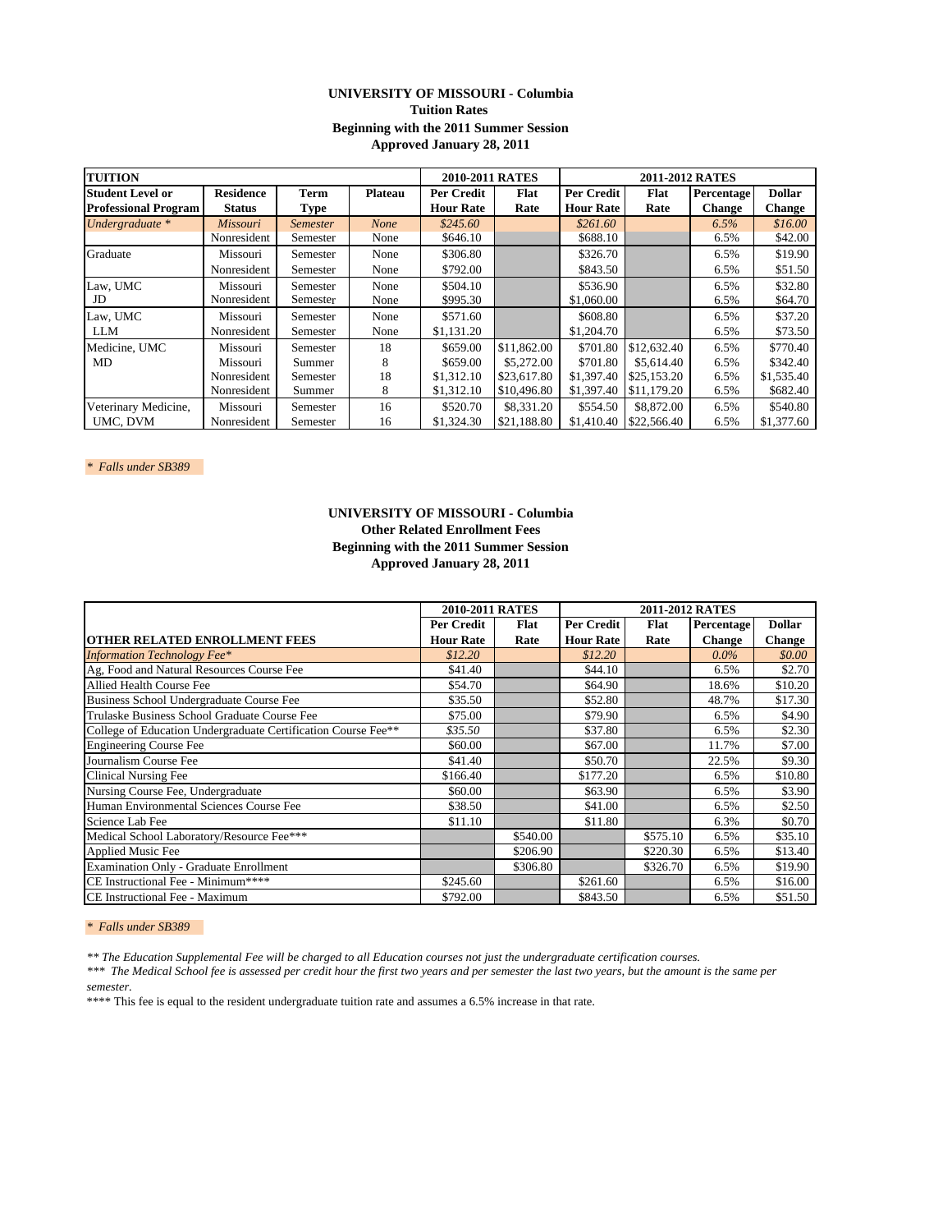# **UNIVERSITY OF MISSOURI - Columbia Tuition Rates Beginning with the 2011 Summer Session Approved January 28, 2011**

| <b>TUITION</b>              |                  |                 |                | 2010-2011 RATES  |             | <b>2011-2012 RATES</b> |             |               |               |
|-----------------------------|------------------|-----------------|----------------|------------------|-------------|------------------------|-------------|---------------|---------------|
| <b>Student Level or</b>     | <b>Residence</b> | Term            | <b>Plateau</b> | Per Credit       | Flat        | Per Credit             | Flat        | Percentage    | <b>Dollar</b> |
| <b>Professional Program</b> | <b>Status</b>    | Type            |                | <b>Hour Rate</b> | Rate        | <b>Hour Rate</b>       | Rate        | <b>Change</b> | <b>Change</b> |
| Undergraduate *             | Missouri         | <b>Semester</b> | <b>None</b>    | \$245.60         |             | \$261.60               |             | 6.5%          | \$16.00       |
|                             | Nonresident      | Semester        | None           | \$646.10         |             | \$688.10               |             | 6.5%          | \$42.00       |
| Graduate                    | Missouri         | Semester        | None           | \$306.80         |             | \$326.70               |             | 6.5%          | \$19.90       |
|                             | Nonresident      | Semester        | None           | \$792.00         |             | \$843.50               |             | 6.5%          | \$51.50       |
| Law, UMC                    | Missouri         | Semester        | None           | \$504.10         |             | \$536.90               |             | 6.5%          | \$32.80       |
| JD                          | Nonresident      | Semester        | None           | \$995.30         |             | \$1,060.00             |             | 6.5%          | \$64.70       |
| Law, UMC                    | Missouri         | Semester        | None           | \$571.60         |             | \$608.80               |             | 6.5%          | \$37.20       |
| <b>LLM</b>                  | Nonresident      | Semester        | None           | \$1,131.20       |             | \$1,204.70             |             | 6.5%          | \$73.50       |
| Medicine, UMC               | Missouri         | Semester        | 18             | \$659.00         | \$11,862.00 | \$701.80               | \$12,632.40 | 6.5%          | \$770.40      |
| MD                          | Missouri         | Summer          | 8              | \$659.00         | \$5,272,00  | \$701.80               | \$5,614.40  | 6.5%          | \$342.40      |
|                             | Nonresident      | Semester        | 18             | \$1,312.10       | \$23,617.80 | \$1,397.40             | \$25,153.20 | 6.5%          | \$1,535.40    |
|                             | Nonresident      | Summer          | 8              | \$1,312.10       | \$10,496.80 | \$1,397.40             | \$11,179.20 | 6.5%          | \$682.40      |
| Veterinary Medicine,        | Missouri         | Semester        | 16             | \$520.70         | \$8,331.20  | \$554.50               | \$8,872.00  | 6.5%          | \$540.80      |
| UMC. DVM                    | Nonresident      | Semester        | 16             | \$1,324.30       | \$21.188.80 | \$1,410.40             | \$22,566.40 | 6.5%          | \$1,377.60    |

*\* Falls under SB389* 

# **Other Related Enrollment Fees Beginning with the 2011 Summer Session Approved January 28, 2011 UNIVERSITY OF MISSOURI - Columbia**

|                                                               | <b>2010-2011 RATES</b> |          |                  |          |               |               |
|---------------------------------------------------------------|------------------------|----------|------------------|----------|---------------|---------------|
|                                                               | Per Credit             | Flat     | Per Credit       | Flat     | Percentage    | <b>Dollar</b> |
| <b>OTHER RELATED ENROLLMENT FEES</b>                          | <b>Hour Rate</b>       | Rate     | <b>Hour Rate</b> | Rate     | <b>Change</b> | <b>Change</b> |
| <b>Information Technology Fee*</b>                            | \$12.20                |          | \$12.20          |          | $0.0\%$       | \$0.00        |
| Ag, Food and Natural Resources Course Fee                     | \$41.40                |          | \$44.10          |          | 6.5%          | \$2.70        |
| Allied Health Course Fee                                      | \$54.70                |          | \$64.90          |          | 18.6%         | \$10.20       |
| Business School Undergraduate Course Fee                      | \$35.50                |          | \$52.80          |          | 48.7%         | \$17.30       |
| Trulaske Business School Graduate Course Fee                  | \$75.00                |          | \$79.90          |          | 6.5%          | \$4.90        |
| College of Education Undergraduate Certification Course Fee** | \$35.50                |          | \$37.80          |          | 6.5%          | \$2.30        |
| <b>Engineering Course Fee</b>                                 | \$60.00                |          | \$67.00          |          | 11.7%         | \$7.00        |
| Journalism Course Fee                                         | \$41.40                |          | \$50.70          |          | 22.5%         | \$9.30        |
| <b>Clinical Nursing Fee</b>                                   | \$166.40               |          | \$177.20         |          | 6.5%          | \$10.80       |
| Nursing Course Fee, Undergraduate                             | \$60.00                |          | \$63.90          |          | 6.5%          | \$3.90        |
| Human Environmental Sciences Course Fee                       | \$38.50                |          | \$41.00          |          | 6.5%          | \$2.50        |
| Science Lab Fee                                               | \$11.10                |          | \$11.80          |          | 6.3%          | \$0.70        |
| Medical School Laboratory/Resource Fee***                     |                        | \$540.00 |                  | \$575.10 | 6.5%          | \$35.10       |
| <b>Applied Music Fee</b>                                      |                        | \$206.90 |                  | \$220.30 | 6.5%          | \$13.40       |
| <b>Examination Only - Graduate Enrollment</b>                 |                        | \$306.80 |                  | \$326.70 | 6.5%          | \$19.90       |
| CE Instructional Fee - Minimum****                            | \$245.60               |          | \$261.60         |          | 6.5%          | \$16.00       |
| CE Instructional Fee - Maximum                                | \$792.00               |          | \$843.50         |          | 6.5%          | \$51.50       |

*\* Falls under SB389* 

*\*\* The Education Supplemental Fee will be charged to all Education courses not just the undergraduate certification courses.*

*\*\*\* The Medical School fee is assessed per credit hour the first two years and per semester the last two years, but the amount is the same per semester.*

\*\*\*\* This fee is equal to the resident undergraduate tuition rate and assumes a 6.5% increase in that rate.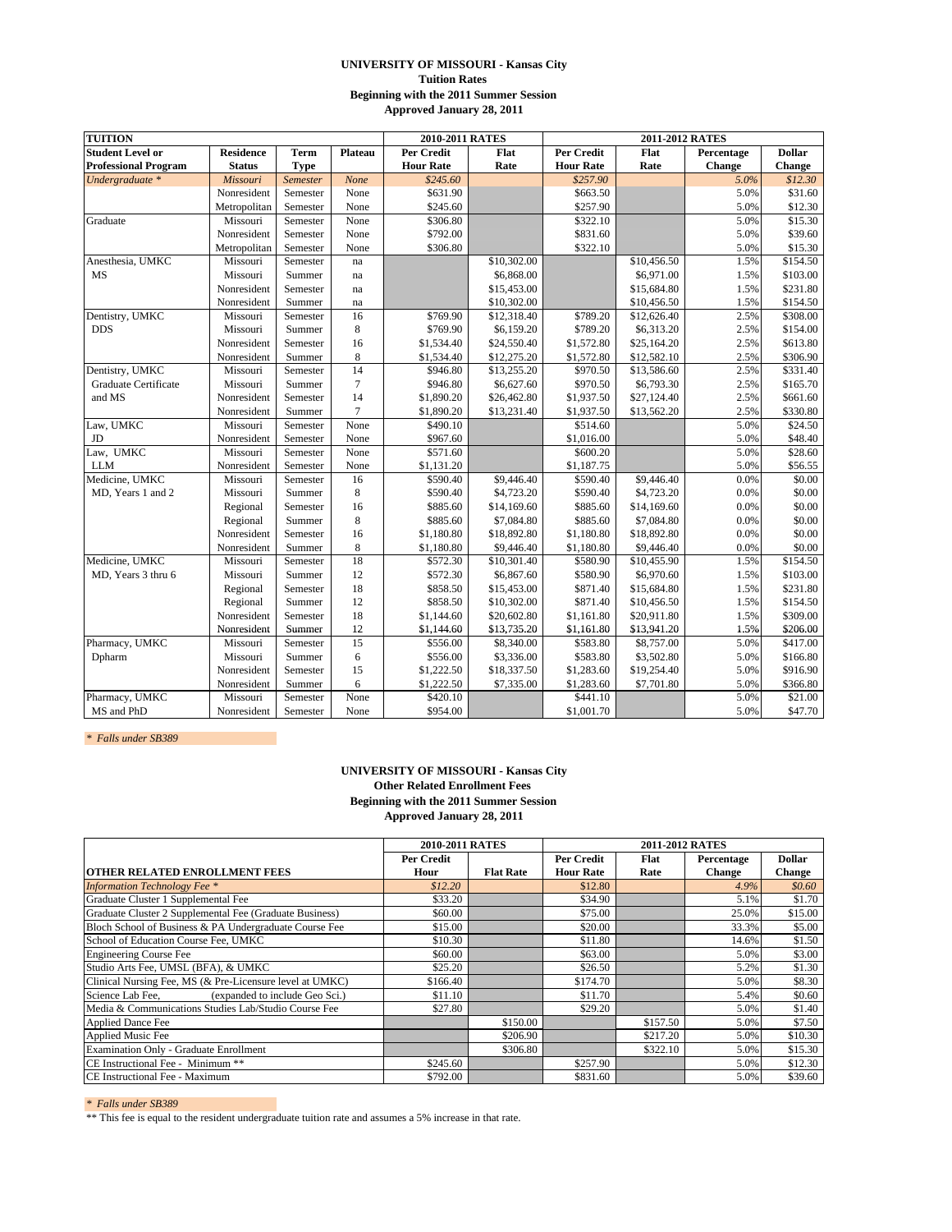### **UNIVERSITY OF MISSOURI - Kansas City Tuition Rates Beginning with the 2011 Summer Session Approved January 28, 2011**

| <b>TUITION</b>              |                  |             | 2010-2011 RATES |                   | 2011-2012 RATES |                  |             |            |               |
|-----------------------------|------------------|-------------|-----------------|-------------------|-----------------|------------------|-------------|------------|---------------|
| <b>Student Level or</b>     | <b>Residence</b> | <b>Term</b> | Plateau         | <b>Per Credit</b> | Flat            | Per Credit       | Flat        | Percentage | <b>Dollar</b> |
| <b>Professional Program</b> | <b>Status</b>    | <b>Type</b> |                 | <b>Hour Rate</b>  | Rate            | <b>Hour Rate</b> | Rate        | Change     | Change        |
| Undergraduate *             | Missouri         | Semester    | None            | \$245.60          |                 | \$257.90         |             | 5.0%       | \$12.30       |
|                             | Nonresident      | Semester    | None            | \$631.90          |                 | \$663.50         |             | 5.0%       | \$31.60       |
|                             | Metropolitan     | Semester    | None            | \$245.60          |                 | \$257.90         |             | 5.0%       | \$12.30       |
| Graduate                    | Missouri         | Semester    | None            | \$306.80          |                 | \$322.10         |             | 5.0%       | \$15.30       |
|                             | Nonresident      | Semester    | None            | \$792.00          |                 | \$831.60         |             | 5.0%       | \$39.60       |
|                             | Metropolitan     | Semester    | None            | \$306.80          |                 | \$322.10         |             | 5.0%       | \$15.30       |
| Anesthesia, UMKC            | Missouri         | Semester    | na              |                   | \$10,302.00     |                  | \$10,456.50 | 1.5%       | \$154.50      |
| <b>MS</b>                   | Missouri         | Summer      | na              |                   | \$6,868.00      |                  | \$6,971.00  | 1.5%       | \$103.00      |
|                             | Nonresident      | Semester    | na              |                   | \$15,453.00     |                  | \$15,684.80 | 1.5%       | \$231.80      |
|                             | Nonresident      | Summer      | na              |                   | \$10,302.00     |                  | \$10,456.50 | 1.5%       | \$154.50      |
| Dentistry, UMKC             | Missouri         | Semester    | 16              | \$769.90          | \$12,318.40     | \$789.20         | \$12,626.40 | 2.5%       | \$308.00      |
| <b>DDS</b>                  | Missouri         | Summer      | 8               | \$769.90          | \$6,159.20      | \$789.20         | \$6,313.20  | 2.5%       | \$154.00      |
|                             | Nonresident      | Semester    | 16              | \$1,534.40        | \$24,550.40     | \$1,572.80       | \$25,164.20 | 2.5%       | \$613.80      |
|                             | Nonresident      | Summer      | 8               | \$1,534.40        | \$12,275.20     | \$1,572.80       | \$12,582.10 | 2.5%       | \$306.90      |
| Dentistry, UMKC             | Missouri         | Semester    | 14              | \$946.80          | \$13,255.20     | \$970.50         | \$13,586.60 | 2.5%       | \$331.40      |
| Graduate Certificate        | Missouri         | Summer      | $\tau$          | \$946.80          | \$6,627.60      | \$970.50         | \$6,793.30  | 2.5%       | \$165.70      |
| and MS                      | Nonresident      | Semester    | 14              | \$1,890.20        | \$26,462.80     | \$1,937.50       | \$27,124.40 | 2.5%       | \$661.60      |
|                             | Nonresident      | Summer      | $\overline{7}$  | \$1,890.20        | \$13,231.40     | \$1,937.50       | \$13,562.20 | 2.5%       | \$330.80      |
| Law, UMKC                   | Missouri         | Semester    | None            | \$490.10          |                 | \$514.60         |             | 5.0%       | \$24.50       |
| JD                          | Nonresident      | Semester    | None            | \$967.60          |                 | \$1,016.00       |             | 5.0%       | \$48.40       |
| Law, UMKC                   | Missouri         | Semester    | None            | \$571.60          |                 | \$600.20         |             | 5.0%       | \$28.60       |
| <b>LLM</b>                  | Nonresident      | Semester    | None            | \$1,131.20        |                 | \$1,187.75       |             | 5.0%       | \$56.55       |
| Medicine, UMKC              | Missouri         | Semester    | 16              | \$590.40          | \$9,446.40      | \$590.40         | \$9,446.40  | 0.0%       | \$0.00        |
| MD, Years 1 and 2           | Missouri         | Summer      | $\,$ 8 $\,$     | \$590.40          | \$4,723.20      | \$590.40         | \$4,723.20  | 0.0%       | \$0.00        |
|                             | Regional         | Semester    | 16              | \$885.60          | \$14,169.60     | \$885.60         | \$14,169.60 | 0.0%       | \$0.00        |
|                             | Regional         | Summer      | 8               | \$885.60          | \$7,084.80      | \$885.60         | \$7,084.80  | 0.0%       | \$0.00        |
|                             | Nonresident      | Semester    | 16              | \$1,180.80        | \$18,892.80     | \$1,180.80       | \$18,892.80 | 0.0%       | \$0.00        |
|                             | Nonresident      | Summer      | 8               | \$1,180.80        | \$9,446.40      | \$1,180.80       | \$9,446.40  | 0.0%       | \$0.00        |
| Medicine, UMKC              | Missouri         | Semester    | 18              | \$572.30          | \$10,301.40     | \$580.90         | \$10,455.90 | 1.5%       | \$154.50      |
| MD, Years 3 thru 6          | Missouri         | Summer      | 12              | \$572.30          | \$6,867.60      | \$580.90         | \$6,970.60  | 1.5%       | \$103.00      |
|                             | Regional         | Semester    | 18              | \$858.50          | \$15,453.00     | \$871.40         | \$15,684.80 | 1.5%       | \$231.80      |
|                             | Regional         | Summer      | 12              | \$858.50          | \$10,302.00     | \$871.40         | \$10,456.50 | 1.5%       | \$154.50      |
|                             | Nonresident      | Semester    | 18              | \$1,144.60        | \$20,602.80     | \$1,161.80       | \$20,911.80 | 1.5%       | \$309.00      |
|                             | Nonresident      | Summer      | 12              | \$1,144.60        | \$13,735.20     | \$1,161.80       | \$13,941.20 | 1.5%       | \$206.00      |
| Pharmacy, UMKC              | Missouri         | Semester    | $\overline{15}$ | \$556.00          | \$8,340.00      | \$583.80         | \$8,757.00  | 5.0%       | \$417.00      |
| Dpharm                      | Missouri         | Summer      | 6               | \$556.00          | \$3,336.00      | \$583.80         | \$3,502.80  | 5.0%       | \$166.80      |
|                             | Nonresident      | Semester    | 15              | \$1,222.50        | \$18,337.50     | \$1,283.60       | \$19,254.40 | 5.0%       | \$916.90      |
|                             | Nonresident      | Summer      | 6               | \$1,222.50        | \$7,335.00      | \$1,283.60       | \$7,701.80  | 5.0%       | \$366.80      |
| Pharmacy, UMKC              | Missouri         | Semester    | None            | \$420.10          |                 | \$441.10         |             | 5.0%       | \$21.00       |
| MS and PhD                  | Nonresident      | Semester    | None            | \$954.00          |                 | \$1,001.70       |             | 5.0%       | \$47.70       |

*\* Falls under SB389* 

#### **UNIVERSITY OF MISSOURI - Kansas City Other Related Enrollment Fees Beginning with the 2011 Summer Session Approved January 28, 2011**

|                                                          | 2010-2011 RATES |                  |                  | 2011-2012 RATES |               |               |  |  |  |
|----------------------------------------------------------|-----------------|------------------|------------------|-----------------|---------------|---------------|--|--|--|
|                                                          | Per Credit      |                  | Per Credit       | <b>Flat</b>     | Percentage    | <b>Dollar</b> |  |  |  |
| OTHER RELATED ENROLLMENT FEES                            | Hour            | <b>Flat Rate</b> | <b>Hour Rate</b> | Rate            | <b>Change</b> | <b>Change</b> |  |  |  |
| <b>Information Technology Fee</b> *                      | \$12.20         |                  | \$12.80          |                 | 4.9%          | \$0.60        |  |  |  |
| Graduate Cluster 1 Supplemental Fee                      | \$33.20         |                  | \$34.90          |                 | 5.1%          | \$1.70        |  |  |  |
| Graduate Cluster 2 Supplemental Fee (Graduate Business)  | \$60.00         |                  | \$75.00          |                 | 25.0%         | \$15.00       |  |  |  |
| Bloch School of Business & PA Undergraduate Course Fee   | \$15.00         |                  | \$20.00          |                 | 33.3%         | \$5.00        |  |  |  |
| School of Education Course Fee, UMKC                     | \$10.30         |                  | \$11.80          |                 | 14.6%         | \$1.50        |  |  |  |
| <b>Engineering Course Fee</b>                            | \$60.00         |                  | \$63.00          |                 | 5.0%          | \$3.00        |  |  |  |
| Studio Arts Fee, UMSL (BFA), & UMKC                      | \$25.20         |                  | \$26.50          |                 | 5.2%          | \$1.30        |  |  |  |
| Clinical Nursing Fee, MS (& Pre-Licensure level at UMKC) | \$166.40        |                  | \$174.70         |                 | 5.0%          | \$8.30        |  |  |  |
| Science Lab Fee,<br>(expanded to include Geo Sci.)       | \$11.10         |                  | \$11.70          |                 | 5.4%          | \$0.60        |  |  |  |
| Media & Communications Studies Lab/Studio Course Fee     | \$27.80         |                  | \$29.20          |                 | 5.0%          | \$1.40        |  |  |  |
| <b>Applied Dance Fee</b>                                 |                 | \$150.00         |                  | \$157.50        | 5.0%          | \$7.50        |  |  |  |
| Applied Music Fee                                        |                 | \$206.90         |                  | \$217.20        | 5.0%          | \$10.30       |  |  |  |
| <b>Examination Only - Graduate Enrollment</b>            |                 | \$306.80         |                  | \$322.10        | 5.0%          | \$15.30       |  |  |  |
| CE Instructional Fee - Minimum **                        | \$245.60        |                  | \$257.90         |                 | 5.0%          | \$12.30       |  |  |  |
| CE Instructional Fee - Maximum                           | \$792.00        |                  | \$831.60         |                 | 5.0%          | \$39.60       |  |  |  |

*\* Falls under SB389* 

\*\* This fee is equal to the resident undergraduate tuition rate and assumes a 5% increase in that rate.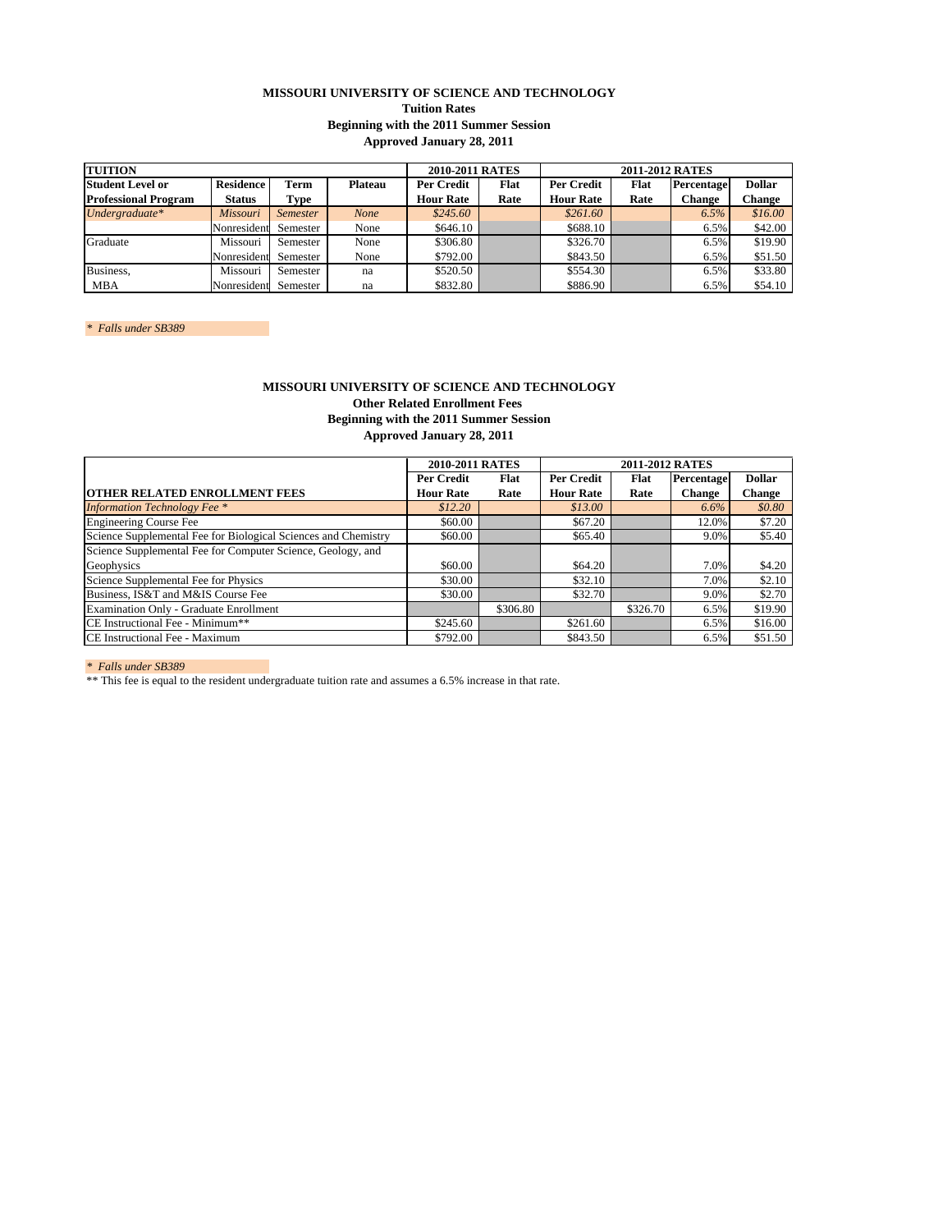## **MISSOURI UNIVERSITY OF SCIENCE AND TECHNOLOGY Tuition Rates Beginning with the 2011 Summer Session Approved January 28, 2011**

| <b>TUITION</b>                                                        |               |                 |                   | 2010-2011 RATES  |            | 2011-2012 RATES  |            |               |         |
|-----------------------------------------------------------------------|---------------|-----------------|-------------------|------------------|------------|------------------|------------|---------------|---------|
| <b>Residence</b><br><b>Student Level or</b><br>Term<br><b>Plateau</b> |               |                 | <b>Per Credit</b> | Flat             | Per Credit | Flat             | Percentage | <b>Dollar</b> |         |
| <b>Professional Program</b>                                           | <b>Status</b> | Type            |                   | <b>Hour Rate</b> | Rate       | <b>Hour Rate</b> | Rate       | <b>Change</b> | Change  |
| Undergraduate*                                                        | Missouri      | <i>Semester</i> | <b>None</b>       | \$245.60         |            | \$261.60         |            | 6.5%          | \$16.00 |
|                                                                       | Nonresident   | Semester        | None              | \$646.10         |            | \$688.10         |            | 6.5%          | \$42.00 |
| Graduate                                                              | Missouri      | Semester        | None              | \$306.80         |            | \$326.70         |            | 6.5%          | \$19.90 |
|                                                                       | Nonresident   | Semester        | None              | \$792.00         |            | \$843.50         |            | 6.5%          | \$51.50 |
| Business,                                                             | Missouri      | Semester        | na                | \$520.50         |            | \$554.30         |            | 6.5%          | \$33.80 |
| <b>MBA</b>                                                            | Nonresident   | Semester        | na                | \$832.80         |            | \$886.90         |            | 6.5%          | \$54.10 |

*\* Falls under SB389* 

## **MISSOURI UNIVERSITY OF SCIENCE AND TECHNOLOGY Other Related Enrollment Fees Beginning with the 2011 Summer Session Approved January 28, 2011**

|                                                                | 2010-2011 RATES  |          |                  |          |               |               |
|----------------------------------------------------------------|------------------|----------|------------------|----------|---------------|---------------|
|                                                                | Per Credit       | Flat     | Per Credit       | Flat     | Percentage    | <b>Dollar</b> |
| <b>OTHER RELATED ENROLLMENT FEES</b>                           | <b>Hour Rate</b> | Rate     | <b>Hour Rate</b> | Rate     | <b>Change</b> | Change        |
| <b>Information Technology Fee *</b>                            | \$12.20          |          | \$13.00          |          | 6.6%          | \$0.80        |
| Engineering Course Fee                                         | \$60.00          |          | \$67.20          |          | 12.0%         | \$7.20        |
| Science Supplemental Fee for Biological Sciences and Chemistry | \$60.00          |          | \$65.40          |          | 9.0%          | \$5.40        |
| Science Supplemental Fee for Computer Science, Geology, and    |                  |          |                  |          |               |               |
| Geophysics                                                     | \$60.00          |          | \$64.20          |          | 7.0%          | \$4.20        |
| Science Supplemental Fee for Physics                           | \$30.00          |          | \$32.10          |          | 7.0%          | \$2.10        |
| Business, IS&T and M&IS Course Fee                             | \$30.00          |          | \$32.70          |          | 9.0%          | \$2.70        |
| Examination Only - Graduate Enrollment                         |                  | \$306.80 |                  | \$326.70 | 6.5%          | \$19.90       |
| CE Instructional Fee - Minimum**                               | \$245.60         |          | \$261.60         |          | 6.5%          | \$16.00       |
| CE Instructional Fee - Maximum                                 | \$792.00         |          | \$843.50         |          | 6.5%          | \$51.50       |

*\* Falls under SB389* 

\*\* This fee is equal to the resident undergraduate tuition rate and assumes a 6.5% increase in that rate.